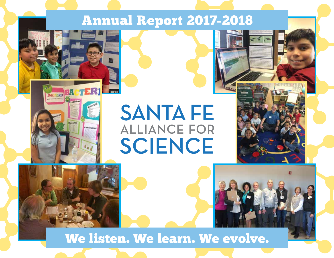# Annual Report 2017-2018



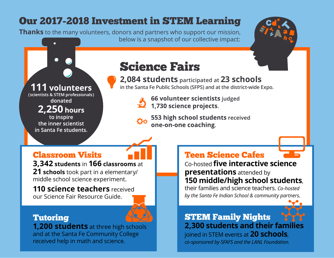# Our 2017-2018 Investment in STEM Learning

**Thanks** to the many volunteers, donors and partners who support our mission, below is a snapshot of our collective impact:

# **111 volunteers**

(scientists & STEM professionals) donated

2,250 hours

to inspire the inner scientist in Santa Fe students.

# **Science Fairs**

**2,084 students participated at 23 schools**

**in the Santa Fe Public Schools (SFPS) and at the district-wide Expo.**

66 volunteer scientists judged **66 volunteer scientists**<br>1,730 science projects.

553 high school students received one-on-one coaching.

# Classroom Visits

**3,342 students** in **166 classrooms** at

**21 schools** took part in a elementary/ middle school science experiment.

**110 science teachers** received our Science Fair Resource Guide.

## Tutoring

**1,200 students** at three high schools and at the Santa Fe Community College received help in math and science.

### Teen Science Cafes

Co-hosted **five interactive science presentations** attended by **150 middle/high school students**,

their families and science teachers. *Co-hosted by the Santa Fe Indian School & community partners.*

### STEM Family Nights **2,300 students and their families**

joined in STEM events at **20 schools**,

*co-sponsored by SFAFS and the LANL Foundation.*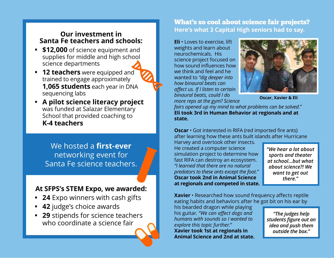#### **Our investment in Santa Fe teachers and schools:**

- **• \$12,000** of science equipment and supplies for middle and high school science departments
- **• 12 teachers** were equipped and trained to engage approximately **1,065 students** each year in DNA sequencing labs
- **• A pilot science literacy project** was funded at Salazar Elementary School that provided coaching to **K-4 teachers**

We hosted a **first-ever** networking event for Santa Fe science teachers.

### **At SFPS's STEM Expo, we awarded:**

- **• 24** Expo winners with cash gifts
- **• 42** judge's choice awards
- **• 29** stipends for science teachers who coordinate a science fair

#### What's so cool about science fair projects? **Here's what 3 Capital High seniors had to say.**

**Eli** • Loves to exercise, lift weights and learn about neurochemicals. His science project focused on how sound influences how we think and feel and he wanted to *"dig deeper into how binaural beats can affect us. If I listen to certain binaural beats, could I do more reps at the gym? Science* 



**Oscar, Xavier & Eli**

*fairs opened up my mind to what problems can be solved."* **Eli took 3rd in Human Behavior at regionals and at state.**

**Oscar** • Got interested in RIFA (red imported fire ants) after learning how these ants built islands after Hurricane

Harvey and overtook other insects. He created a computer science simulation project to determine how fast RIFA can destroy an ecosystem. *"I learned that there are no natural predators to these ants except the foot."* **Oscar took 2nd in Animal Science at regionals and competed in state.**

*"We hear a lot about sports and theater at school...but what about science?! We want to get out there."*

**Xavier** • Researched how sound frequency affects reptile eating habits and behaviors after he got bit on his ear by

his bearded dragon while playing his guitar. *"We can affect dogs and humans with sounds so I wanted to explore this topic further."* **Xavier took 1st at regionals in Animal Science and 2nd at state.**

*"The judges help students figure out an idea and push them outside the box."*